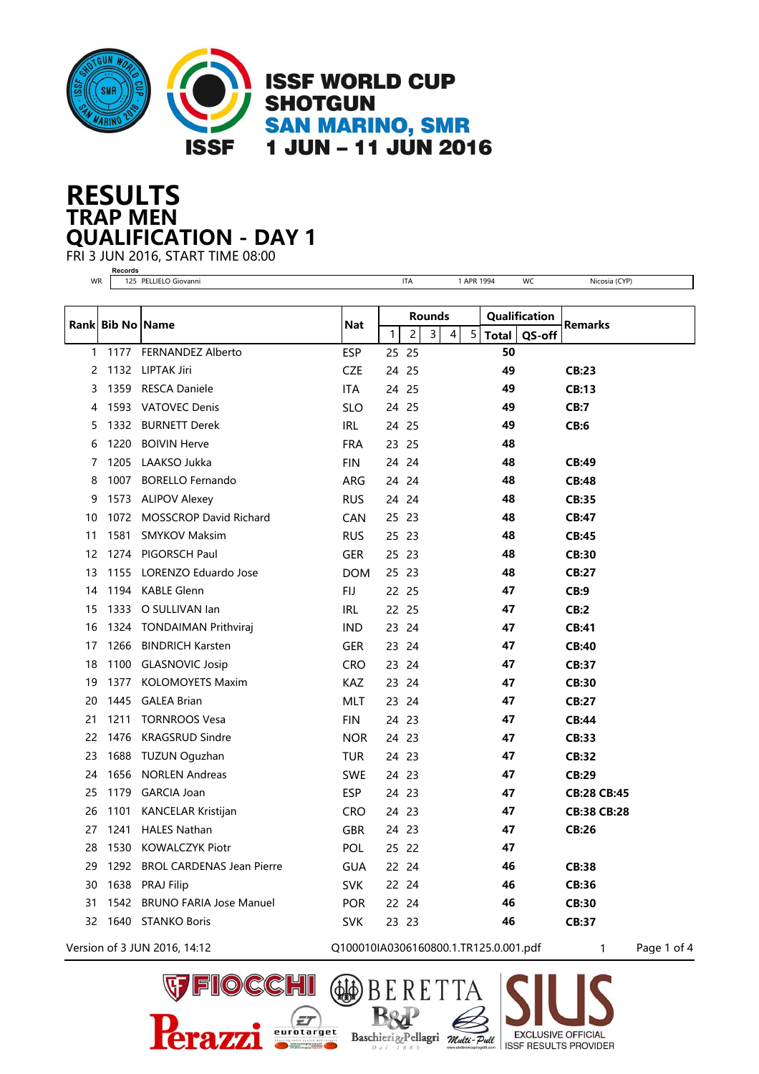

## **TRAP MEN RESULTS QUALIFICATION - DAY 1**

FRI 3 JUN 2016, START TIME 08:00 **Records**

| WR |                  | 125 PELLIELO Giovanni          |                                       |              | <b>ITA</b>     |                |   | 1 APR 1994     |               | WC     | Nicosia (CYP)           |
|----|------------------|--------------------------------|---------------------------------------|--------------|----------------|----------------|---|----------------|---------------|--------|-------------------------|
|    |                  |                                |                                       |              |                |                |   |                |               |        |                         |
|    | Rank Bib No Name |                                | <b>Nat</b>                            | Rounds       |                |                |   |                | Qualification |        | <b>Remarks</b>          |
|    |                  |                                |                                       | $\mathbf{1}$ | $\overline{c}$ | 3 <sup>1</sup> | 4 | 5 <sub>5</sub> | <b>Total</b>  | QS-off |                         |
| 1  | 1177             | <b>FERNANDEZ Alberto</b>       | <b>ESP</b>                            | 25 25        |                |                |   |                | 50<br>49      |        |                         |
| 2  | 1132             | LIPTAK Jiri                    | <b>CZE</b>                            | 24           | 25             |                |   |                |               |        | <b>CB:23</b>            |
| 3  | 1359             | <b>RESCA Daniele</b>           | ITA                                   | 24 25        |                |                |   |                | 49            |        | CB:13                   |
| 4  |                  | 1593 VATOVEC Denis             | <b>SLO</b>                            | 24 25        |                |                |   |                | 49            |        | CB:7                    |
| 5  |                  | 1332 BURNETT Derek             | IRL                                   | 24           | 25             |                |   |                | 49            |        | CB:6                    |
| 6  | 1220             | <b>BOIVIN Herve</b>            | <b>FRA</b>                            | 23 25        |                |                |   |                | 48            |        |                         |
| 7  | 1205             | LAAKSO Jukka                   | <b>FIN</b>                            | 24           | 24             |                |   |                | 48            |        | CB:49                   |
| 8  |                  | 1007 BORELLO Fernando          | ARG                                   |              | 24 24          |                |   |                | 48            |        | <b>CB:48</b>            |
| 9  | 1573             | <b>ALIPOV Alexey</b>           | <b>RUS</b>                            |              | 24 24          |                |   |                | 48            |        | <b>CB:35</b>            |
| 10 | 1072             | <b>MOSSCROP David Richard</b>  | <b>CAN</b>                            | 25           | 23             |                |   |                | 48            |        | <b>CB:47</b>            |
| 11 | 1581             | <b>SMYKOV Maksim</b>           | <b>RUS</b>                            | 25 23        |                |                |   |                | 48            |        | <b>CB:45</b>            |
| 12 | 1274             | PIGORSCH Paul                  | <b>GER</b>                            | 25           | 23             |                |   |                | 48            |        | <b>CB:30</b>            |
| 13 | 1155             | LORENZO Eduardo Jose           | <b>DOM</b>                            | 25 23        |                |                |   |                | 48            |        | <b>CB:27</b>            |
| 14 |                  | 1194 KABLE Glenn               | FIJ                                   | 22 25        |                |                |   |                | 47            |        | CB:9                    |
| 15 | 1333             | O SULLIVAN Ian                 | <b>IRL</b>                            | 22           | 25             |                |   |                | 47            |        | CB:2                    |
| 16 | 1324             | <b>TONDAIMAN Prithviraj</b>    | <b>IND</b>                            | 23 24        |                |                |   |                | 47            |        | <b>CB:41</b>            |
| 17 | 1266             | <b>BINDRICH Karsten</b>        | <b>GER</b>                            | 23           | 24             |                |   |                | 47            |        | <b>CB:40</b>            |
| 18 | 1100             | <b>GLASNOVIC Josip</b>         | <b>CRO</b>                            | 23           | 24             |                |   |                | 47            |        | <b>CB:37</b>            |
| 19 | 1377             | <b>KOLOMOYETS Maxim</b>        | <b>KAZ</b>                            | 23 24        |                |                |   |                | 47            |        | <b>CB:30</b>            |
| 20 | 1445             | <b>GALEA Brian</b>             | MLT                                   | 23           | 24             |                |   |                | 47            |        | <b>CB:27</b>            |
| 21 | 1211             | <b>TORNROOS Vesa</b>           | <b>FIN</b>                            | 24 23        |                |                |   |                | 47            |        | <b>CB:44</b>            |
| 22 | 1476             | <b>KRAGSRUD Sindre</b>         | <b>NOR</b>                            | 24 23        |                |                |   |                | 47            |        | <b>CB:33</b>            |
| 23 | 1688             | TUZUN Oguzhan                  | TUR                                   | 24 23        |                |                |   |                | 47            |        | CB:32                   |
| 24 | 1656             | <b>NORLEN Andreas</b>          | <b>SWE</b>                            | 24 23        |                |                |   |                | 47            |        | <b>CB:29</b>            |
| 25 |                  | 1179 GARCIA Joan               | <b>ESP</b>                            | 24 23        |                |                |   |                | 47            |        | <b>CB:28 CB:45</b>      |
| 26 | 1101             | KANCELAR Kristijan             | <b>CRO</b>                            | 24 23        |                |                |   |                | 47            |        | <b>CB:38 CB:28</b>      |
| 27 | 1241             | <b>HALES Nathan</b>            | <b>GBR</b>                            | 24 23        |                |                |   |                | 47            |        | <b>CB:26</b>            |
| 28 |                  | 1530 KOWALCZYK Piotr           | POL                                   | 25 22        |                |                |   |                | 47            |        |                         |
| 29 |                  | 1292 BROL CARDENAS Jean Pierre | <b>GUA</b>                            |              | 22 24          |                |   |                | 46            |        | <b>CB:38</b>            |
| 30 |                  | 1638 PRAJ Filip                | <b>SVK</b>                            |              | 22 24          |                |   | $\sim 10^{-1}$ | 46            |        | CB:36                   |
| 31 |                  | 1542 BRUNO FARIA Jose Manuel   | <b>POR</b>                            |              | 22 24          |                |   |                | 46            |        | <b>CB:30</b>            |
|    |                  | 32 1640 STANKO Boris           | <b>SVK</b>                            |              | 23 23          |                |   |                | 46            |        | <b>CB:37</b>            |
|    |                  | Version of 3 JUN 2016, 14:12   | Q100010IA0306160800.1.TR125.0.001.pdf |              |                |                |   |                |               |        | Page 1 of 4<br>$\sim$ 1 |

Æ

OCCHI

(ET eurotarget

Shooting sport system and targets<br>http://www.eurologetgroup.com

 $\bigoplus$ 

Baschieri &Pellagri Mutti-Putl

**EXCLUSIVE OFFICIAL** 

**ISSF RESULTS PROVIDER**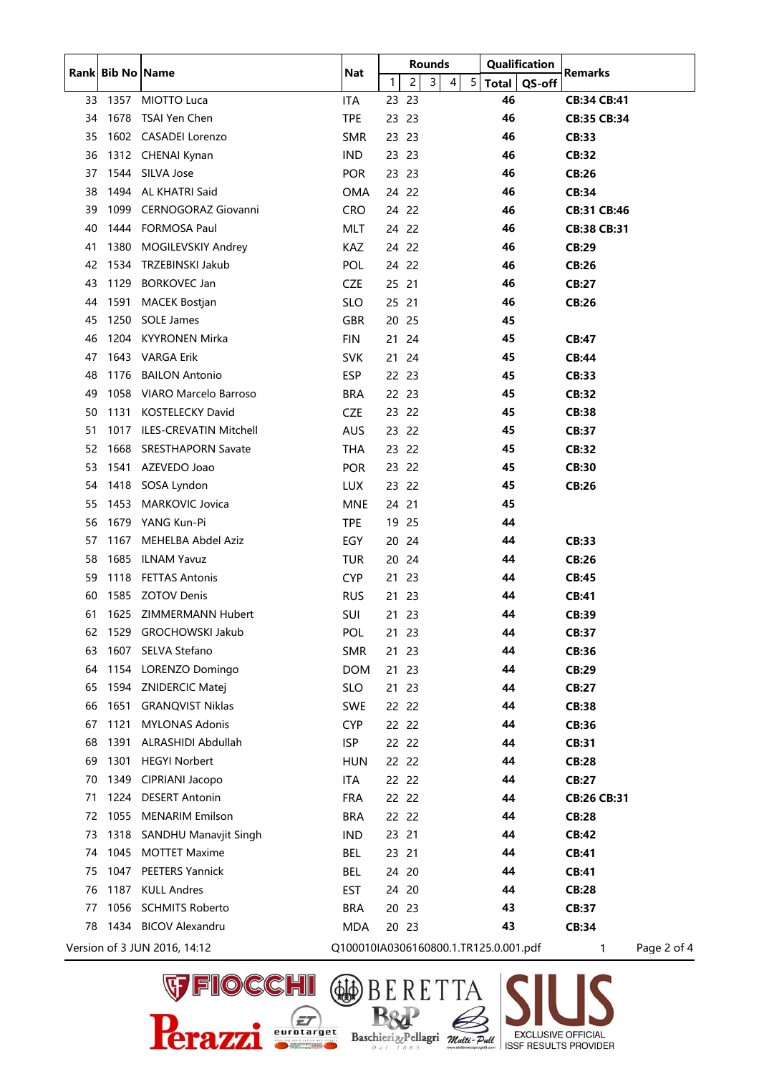|    |      | Rank Bib No Name             | <b>Nat</b>                            |              |                | <b>Rounds</b>  |   |   | Qualification |        | <b>Remarks</b>     |             |
|----|------|------------------------------|---------------------------------------|--------------|----------------|----------------|---|---|---------------|--------|--------------------|-------------|
|    |      |                              |                                       | $\mathbf{1}$ | $\overline{c}$ | $\overline{3}$ | 4 | 5 | Total         | QS-off |                    |             |
| 33 | 1357 | MIOTTO Luca                  | <b>ITA</b>                            | 23 23        |                |                |   |   | 46            |        | <b>CB:34 CB:41</b> |             |
| 34 | 1678 | TSAI Yen Chen                | <b>TPE</b>                            | 23           | 23             |                |   |   | 46            |        | CB:35 CB:34        |             |
| 35 |      | 1602 CASADEI Lorenzo         | <b>SMR</b>                            | 23           | 23             |                |   |   | 46            |        | <b>CB:33</b>       |             |
| 36 |      | 1312 CHENAI Kynan            | <b>IND</b>                            | 23 23        |                |                |   |   | 46            |        | <b>CB:32</b>       |             |
| 37 |      | 1544 SILVA Jose              | <b>POR</b>                            | 23           | 23             |                |   |   | 46            |        | <b>CB:26</b>       |             |
| 38 | 1494 | AL KHATRI Said               | OMA                                   | 24 22        |                |                |   |   | 46            |        | <b>CB:34</b>       |             |
| 39 | 1099 | CERNOGORAZ Giovanni          | <b>CRO</b>                            | 24           | 22             |                |   |   | 46            |        | <b>CB:31 CB:46</b> |             |
| 40 |      | 1444 FORMOSA Paul            | MLT                                   | 24 22        |                |                |   |   | 46            |        | CB:38 CB:31        |             |
| 41 | 1380 | MOGILEVSKIY Andrey           | <b>KAZ</b>                            | 24 22        |                |                |   |   | 46            |        | <b>CB:29</b>       |             |
| 42 | 1534 | TRZEBINSKI Jakub             | <b>POL</b>                            | 24           | 22             |                |   |   | 46            |        | <b>CB:26</b>       |             |
| 43 | 1129 | <b>BORKOVEC Jan</b>          | <b>CZE</b>                            | 25 21        |                |                |   |   | 46            |        | <b>CB:27</b>       |             |
| 44 | 1591 | <b>MACEK Bostjan</b>         | <b>SLO</b>                            | 25           | 21             |                |   |   | 46            |        | <b>CB:26</b>       |             |
| 45 | 1250 | <b>SOLE James</b>            | GBR                                   | 20 25        |                |                |   |   | 45            |        |                    |             |
| 46 | 1204 | KYYRONEN Mirka               | FIN                                   | 21 24        |                |                |   |   | 45            |        | <b>CB:47</b>       |             |
| 47 |      | 1643 VARGA Erik              | <b>SVK</b>                            | 21           | 24             |                |   |   | 45            |        | <b>CB:44</b>       |             |
| 48 | 1176 | <b>BAILON Antonio</b>        | <b>ESP</b>                            | 22 23        |                |                |   |   | 45            |        | <b>CB:33</b>       |             |
| 49 |      | 1058 VIARO Marcelo Barroso   | <b>BRA</b>                            | 22 23        |                |                |   |   | 45            |        | <b>CB:32</b>       |             |
| 50 | 1131 | <b>KOSTELECKY David</b>      | <b>CZE</b>                            | 23 22        |                |                |   |   | 45            |        | <b>CB:38</b>       |             |
| 51 | 1017 | ILES-CREVATIN Mitchell       | <b>AUS</b>                            | 23 22        |                |                |   |   | 45            |        | <b>CB:37</b>       |             |
| 52 | 1668 | <b>SRESTHAPORN Savate</b>    | THA                                   | 23           | 22             |                |   |   | 45            |        | <b>CB:32</b>       |             |
| 53 | 1541 | AZEVEDO Joao                 | <b>POR</b>                            | 23 22        |                |                |   |   | 45            |        | <b>CB:30</b>       |             |
| 54 | 1418 | SOSA Lyndon                  | <b>LUX</b>                            | 23           | 22             |                |   |   | 45            |        | <b>CB:26</b>       |             |
| 55 | 1453 | <b>MARKOVIC Jovica</b>       | MNE                                   | 24 21        |                |                |   |   | 45            |        |                    |             |
| 56 |      | 1679 YANG Kun-Pi             | <b>TPE</b>                            | 19 25        |                |                |   |   | 44            |        |                    |             |
| 57 | 1167 | MEHELBA Abdel Aziz           | EGY                                   | 20           | 24             |                |   |   | 44            |        | <b>CB:33</b>       |             |
| 58 | 1685 | <b>ILNAM Yavuz</b>           | TUR                                   | 20 24        |                |                |   |   | 44            |        | <b>CB:26</b>       |             |
| 59 | 1118 | <b>FETTAS Antonis</b>        | <b>CYP</b>                            | 21           | 23             |                |   |   | 44            |        | <b>CB:45</b>       |             |
| 60 | 1585 | <b>ZOTOV Denis</b>           | <b>RUS</b>                            | 21           | 23             |                |   |   | 44            |        | <b>CB:41</b>       |             |
| 61 | 1625 | ZIMMERMANN Hubert            | SUI                                   | 21 23        |                |                |   |   | 44            |        | CB:39              |             |
| 62 | 1529 | <b>GROCHOWSKI Jakub</b>      | <b>POL</b>                            | 21 23        |                |                |   |   | 44            |        | <b>CB:37</b>       |             |
| 63 | 1607 | SELVA Stefano                | <b>SMR</b>                            | 21 23        |                |                |   |   | 44            |        | CB:36              |             |
| 64 | 1154 | LORENZO Domingo              | <b>DOM</b>                            | 21 23        |                |                |   |   | 44            |        | <b>CB:29</b>       |             |
| 65 |      | 1594 ZNIDERCIC Matej         | <b>SLO</b>                            | 21 23        |                |                |   |   | 44            |        | <b>CB:27</b>       |             |
| 66 | 1651 | <b>GRANQVIST Niklas</b>      | <b>SWE</b>                            | 22 22        |                |                |   |   | 44            |        | <b>CB:38</b>       |             |
| 67 | 1121 | <b>MYLONAS Adonis</b>        | <b>CYP</b>                            | 22 22        |                |                |   |   | 44            |        | <b>CB:36</b>       |             |
| 68 | 1391 | ALRASHIDI Abdullah           | <b>ISP</b>                            | 22 22        |                |                |   |   | 44            |        | <b>CB:31</b>       |             |
| 69 | 1301 | <b>HEGYI Norbert</b>         | <b>HUN</b>                            | 22 22        |                |                |   |   | 44            |        | <b>CB:28</b>       |             |
| 70 | 1349 | CIPRIANI Jacopo              | ITA                                   | 22 22        |                |                |   |   | 44            |        | <b>CB:27</b>       |             |
| 71 | 1224 | <b>DESERT Antonin</b>        | <b>FRA</b>                            | 22 22        |                |                |   |   | 44            |        | CB:26 CB:31        |             |
| 72 | 1055 | <b>MENARIM Emilson</b>       | <b>BRA</b>                            | 22 22        |                |                |   |   | 44            |        | <b>CB:28</b>       |             |
| 73 | 1318 | <b>SANDHU Manavjit Singh</b> | IND                                   | 23 21        |                |                |   |   | 44            |        | <b>CB:42</b>       |             |
| 74 | 1045 | <b>MOTTET Maxime</b>         | <b>BEL</b>                            | 23 21        |                |                |   |   | 44            |        | <b>CB:41</b>       |             |
| 75 | 1047 | <b>PEETERS Yannick</b>       | BEL                                   | 24 20        |                |                |   |   | 44            |        | <b>CB:41</b>       |             |
| 76 | 1187 | <b>KULL Andres</b>           | <b>EST</b>                            | 24 20        |                |                |   |   | 44            |        | <b>CB:28</b>       |             |
| 77 | 1056 | <b>SCHMITS Roberto</b>       | <b>BRA</b>                            | 20 23        |                |                |   |   | 43            |        | <b>CB:37</b>       |             |
| 78 |      | 1434 BICOV Alexandru         | MDA                                   | 20 23        |                |                |   |   | 43            |        | <b>CB:34</b>       |             |
|    |      | Version of 3 JUN 2016, 14:12 | Q100010IA0306160800.1.TR125.0.001.pdf |              |                |                |   |   |               |        | 1                  | Page 2 of 4 |

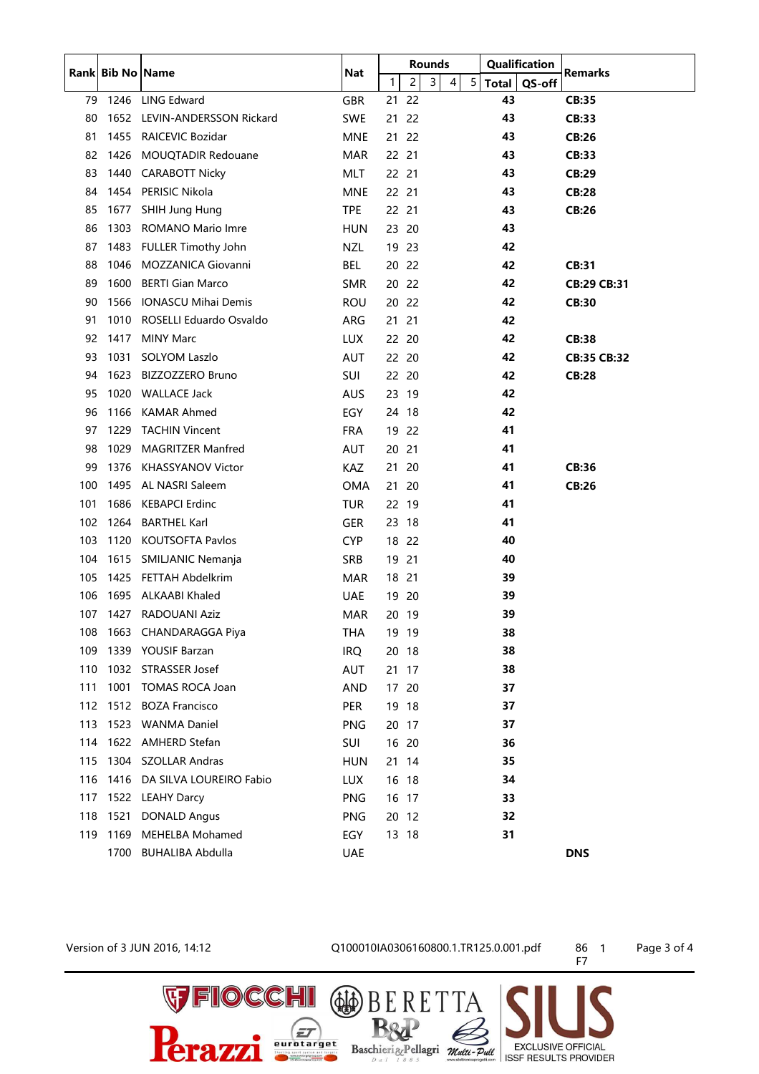|     |      | Rank Bib No Name               | <b>Nat</b> | <b>Rounds</b> |                |   |   |                 |              | Qualification | <b>Remarks</b>     |
|-----|------|--------------------------------|------------|---------------|----------------|---|---|-----------------|--------------|---------------|--------------------|
|     |      |                                |            | 1             | $\overline{c}$ | 3 | 4 | $5\phantom{.0}$ | <b>Total</b> | QS-off        |                    |
| 79  | 1246 | <b>LING Edward</b>             | <b>GBR</b> | 21            | 22             |   |   |                 | 43           |               | CB:35              |
| 80  | 1652 | <b>LEVIN-ANDERSSON Rickard</b> | <b>SWE</b> | 21            | 22             |   |   |                 | 43           |               | CB:33              |
| 81  | 1455 | <b>RAICEVIC Bozidar</b>        | <b>MNE</b> | 21            | 22             |   |   |                 | 43           |               | <b>CB:26</b>       |
| 82  | 1426 | MOUQTADIR Redouane             | <b>MAR</b> | 22 21         |                |   |   |                 | 43           |               | CB:33              |
| 83  | 1440 | <b>CARABOTT Nicky</b>          | MLT        | 22 21         |                |   |   |                 | 43           |               | <b>CB:29</b>       |
| 84  | 1454 | PERISIC Nikola                 | <b>MNE</b> | 22 21         |                |   |   |                 | 43           |               | <b>CB:28</b>       |
| 85  | 1677 | SHIH Jung Hung                 | <b>TPE</b> | 22 21         |                |   |   |                 | 43           |               | <b>CB:26</b>       |
| 86  | 1303 | ROMANO Mario Imre              | <b>HUN</b> | 23 20         |                |   |   |                 | 43           |               |                    |
| 87  | 1483 | FULLER Timothy John            | NZL        | 19 23         |                |   |   |                 | 42           |               |                    |
| 88  | 1046 | <b>MOZZANICA Giovanni</b>      | BEL        | 20            | 22             |   |   |                 | 42           |               | <b>CB:31</b>       |
| 89  | 1600 | <b>BERTI Gian Marco</b>        | <b>SMR</b> | 20            | -22            |   |   |                 | 42           |               | <b>CB:29 CB:31</b> |
| 90  | 1566 | <b>IONASCU Mihai Demis</b>     | <b>ROU</b> | 20            | 22             |   |   |                 | 42           |               | <b>CB:30</b>       |
| 91  | 1010 | ROSELLI Eduardo Osvaldo        | ARG        | 21            | 21             |   |   |                 | 42           |               |                    |
| 92  | 1417 | <b>MINY Marc</b>               | <b>LUX</b> | 22 20         |                |   |   |                 | 42           |               | <b>CB:38</b>       |
| 93  | 1031 | <b>SOLYOM Laszlo</b>           | <b>AUT</b> | 22 20         |                |   |   |                 | 42           |               | <b>CB:35 CB:32</b> |
| 94  | 1623 | <b>BIZZOZZERO Bruno</b>        | SUI        | 22 20         |                |   |   |                 | 42           |               | <b>CB:28</b>       |
| 95  | 1020 | <b>WALLACE Jack</b>            | <b>AUS</b> | 23            | -19            |   |   |                 | 42           |               |                    |
| 96  | 1166 | <b>KAMAR Ahmed</b>             | EGY        | 24 18         |                |   |   |                 | 42           |               |                    |
| 97  | 1229 | <b>TACHIN Vincent</b>          | <b>FRA</b> | 19            | -22            |   |   |                 | 41           |               |                    |
| 98  | 1029 | <b>MAGRITZER Manfred</b>       | <b>AUT</b> | 20            | 21             |   |   |                 | 41           |               |                    |
| 99  | 1376 | <b>KHASSYANOV Victor</b>       | <b>KAZ</b> | 21            | 20             |   |   |                 | 41           |               | <b>CB:36</b>       |
| 100 | 1495 | AL NASRI Saleem                | <b>OMA</b> | 21            | 20             |   |   |                 | 41           |               | <b>CB:26</b>       |
| 101 | 1686 | <b>KEBAPCI Erdinc</b>          | TUR        | 22 19         |                |   |   |                 | 41           |               |                    |
| 102 | 1264 | <b>BARTHEL Karl</b>            | <b>GER</b> | 23            | 18             |   |   |                 | 41           |               |                    |
| 103 | 1120 | <b>KOUTSOFTA Pavlos</b>        | <b>CYP</b> | 18            | 22             |   |   |                 | 40           |               |                    |
| 104 | 1615 | SMILJANIC Nemanja              | <b>SRB</b> | 19            | 21             |   |   |                 | 40           |               |                    |
| 105 | 1425 | FETTAH Abdelkrim               | <b>MAR</b> | 18            | 21             |   |   |                 | 39           |               |                    |
| 106 | 1695 | <b>ALKAABI Khaled</b>          | <b>UAE</b> | 19            | 20             |   |   |                 | 39           |               |                    |
| 107 | 1427 | RADOUANI Aziz                  | <b>MAR</b> | 20 19         |                |   |   |                 | 39           |               |                    |
| 108 |      | 1663 CHANDARAGGA Piya          | THA        | 19 19         |                |   |   |                 | 38           |               |                    |
| 109 |      | 1339 YOUSIF Barzan             | <b>IRQ</b> | 20 18         |                |   |   |                 | 38           |               |                    |
| 110 |      | 1032 STRASSER Josef            | AUT        | 21 17         |                |   |   |                 | 38           |               |                    |
| 111 | 1001 | <b>TOMAS ROCA Joan</b>         | <b>AND</b> | 17 20         |                |   |   |                 | 37           |               |                    |
| 112 |      | 1512 BOZA Francisco            | PER        | 19 18         |                |   |   |                 | 37           |               |                    |
| 113 |      | 1523 WANMA Daniel              | <b>PNG</b> | 20 17         |                |   |   |                 | 37           |               |                    |
| 114 |      | 1622 AMHERD Stefan             | SUI        | 16 20         |                |   |   |                 | 36           |               |                    |
| 115 |      | 1304 SZOLLAR Andras            | <b>HUN</b> | 21 14         |                |   |   |                 | 35           |               |                    |
| 116 | 1416 | DA SILVA LOUREIRO Fabio        | <b>LUX</b> | 16 18         |                |   |   |                 | 34           |               |                    |
| 117 | 1522 | <b>LEAHY Darcy</b>             | <b>PNG</b> | 16 17         |                |   |   |                 | 33           |               |                    |
| 118 | 1521 | <b>DONALD Angus</b>            | <b>PNG</b> | 20 12         |                |   |   |                 | 32           |               |                    |
| 119 | 1169 | MEHELBA Mohamed                | EGY        | 13 18         |                |   |   |                 | 31           |               |                    |
|     |      | 1700 BUHALIBA Abdulla          | <b>UAE</b> |               |                |   |   |                 |              |               | <b>DNS</b>         |

**VEIOCCHI**<br>Perazzi

## Version of 3 JUN 2016, 14:12<br>
Q100010IA0306160800.1.TR125.0.001.pdf 86 1 Page 3 of 4

RETTA

Baschierig-Pellagri *mutti-Putt* EXCLUSIVE OFFICIAL

 $\circledast$ 

**B&P** 

 $\boxed{\mathcal{F}}$ 

F7

**EXCLUSIVE OFFICIAL**